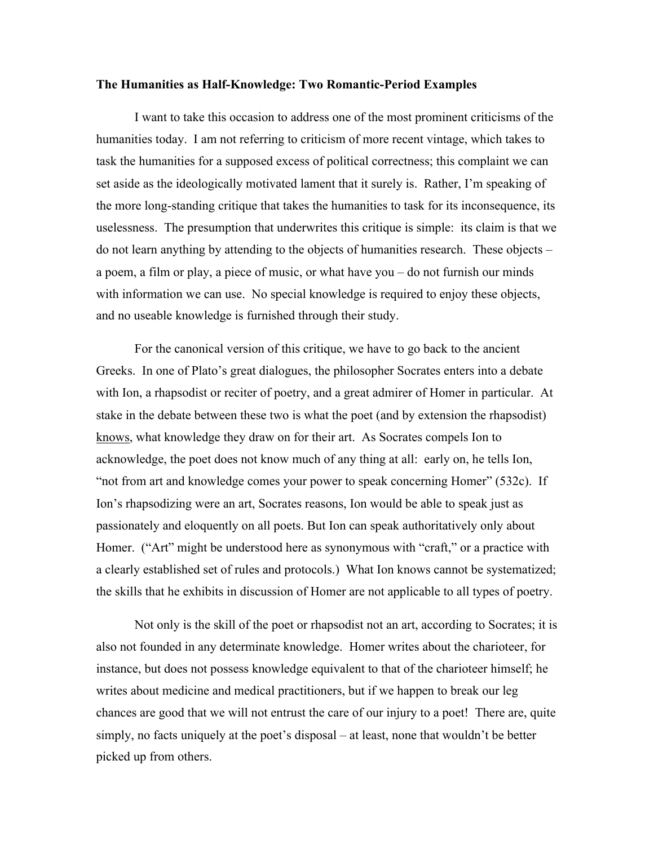## **The Humanities as Half-Knowledge: Two Romantic-Period Examples**

I want to take this occasion to address one of the most prominent criticisms of the humanities today. I am not referring to criticism of more recent vintage, which takes to task the humanities for a supposed excess of political correctness; this complaint we can set aside as the ideologically motivated lament that it surely is. Rather, I'm speaking of the more long-standing critique that takes the humanities to task for its inconsequence, its uselessness. The presumption that underwrites this critique is simple: its claim is that we do not learn anything by attending to the objects of humanities research. These objects – a poem, a film or play, a piece of music, or what have you – do not furnish our minds with information we can use. No special knowledge is required to enjoy these objects, and no useable knowledge is furnished through their study.

For the canonical version of this critique, we have to go back to the ancient Greeks. In one of Plato's great dialogues, the philosopher Socrates enters into a debate with Ion, a rhapsodist or reciter of poetry, and a great admirer of Homer in particular. At stake in the debate between these two is what the poet (and by extension the rhapsodist) knows, what knowledge they draw on for their art. As Socrates compels Ion to acknowledge, the poet does not know much of any thing at all: early on, he tells Ion, "not from art and knowledge comes your power to speak concerning Homer" (532c). If Ion's rhapsodizing were an art, Socrates reasons, Ion would be able to speak just as passionately and eloquently on all poets. But Ion can speak authoritatively only about Homer. ("Art" might be understood here as synonymous with "craft," or a practice with a clearly established set of rules and protocols.) What Ion knows cannot be systematized; the skills that he exhibits in discussion of Homer are not applicable to all types of poetry.

Not only is the skill of the poet or rhapsodist not an art, according to Socrates; it is also not founded in any determinate knowledge. Homer writes about the charioteer, for instance, but does not possess knowledge equivalent to that of the charioteer himself; he writes about medicine and medical practitioners, but if we happen to break our leg chances are good that we will not entrust the care of our injury to a poet! There are, quite simply, no facts uniquely at the poet's disposal – at least, none that wouldn't be better picked up from others.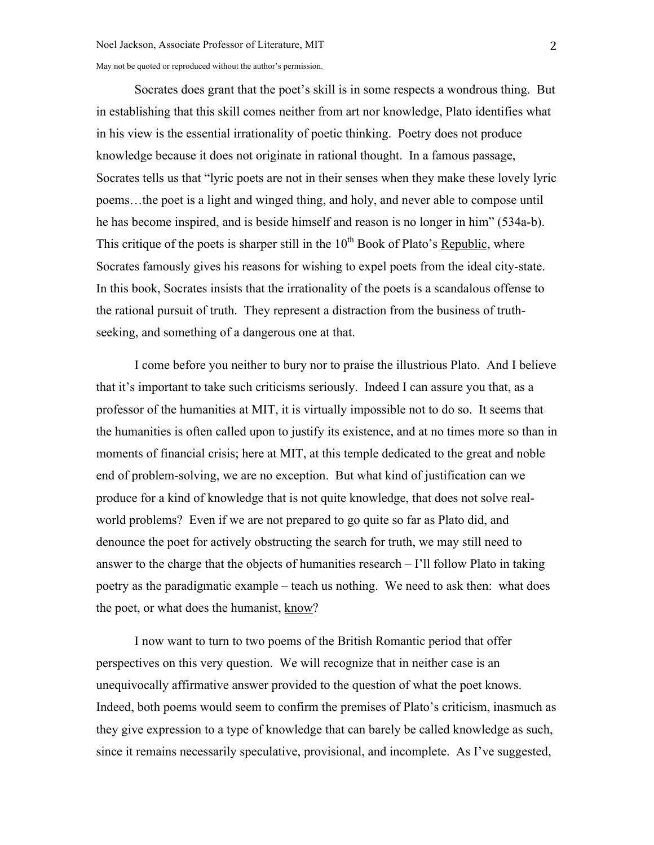Socrates does grant that the poet's skill is in some respects a wondrous thing. But in establishing that this skill comes neither from art nor knowledge, Plato identifies what in his view is the essential irrationality of poetic thinking. Poetry does not produce knowledge because it does not originate in rational thought. In a famous passage, Socrates tells us that "lyric poets are not in their senses when they make these lovely lyric poems…the poet is a light and winged thing, and holy, and never able to compose until he has become inspired, and is beside himself and reason is no longer in him" (534a-b). This critique of the poets is sharper still in the  $10<sup>th</sup>$  Book of Plato's Republic, where Socrates famously gives his reasons for wishing to expel poets from the ideal city-state. In this book, Socrates insists that the irrationality of the poets is a scandalous offense to the rational pursuit of truth. They represent a distraction from the business of truthseeking, and something of a dangerous one at that.

I come before you neither to bury nor to praise the illustrious Plato. And I believe that it's important to take such criticisms seriously. Indeed I can assure you that, as a professor of the humanities at MIT, it is virtually impossible not to do so. It seems that the humanities is often called upon to justify its existence, and at no times more so than in moments of financial crisis; here at MIT, at this temple dedicated to the great and noble end of problem-solving, we are no exception. But what kind of justification can we produce for a kind of knowledge that is not quite knowledge, that does not solve realworld problems? Even if we are not prepared to go quite so far as Plato did, and denounce the poet for actively obstructing the search for truth, we may still need to answer to the charge that the objects of humanities research – I'll follow Plato in taking poetry as the paradigmatic example – teach us nothing. We need to ask then: what does the poet, or what does the humanist, know?

I now want to turn to two poems of the British Romantic period that offer perspectives on this very question. We will recognize that in neither case is an unequivocally affirmative answer provided to the question of what the poet knows. Indeed, both poems would seem to confirm the premises of Plato's criticism, inasmuch as they give expression to a type of knowledge that can barely be called knowledge as such, since it remains necessarily speculative, provisional, and incomplete. As I've suggested,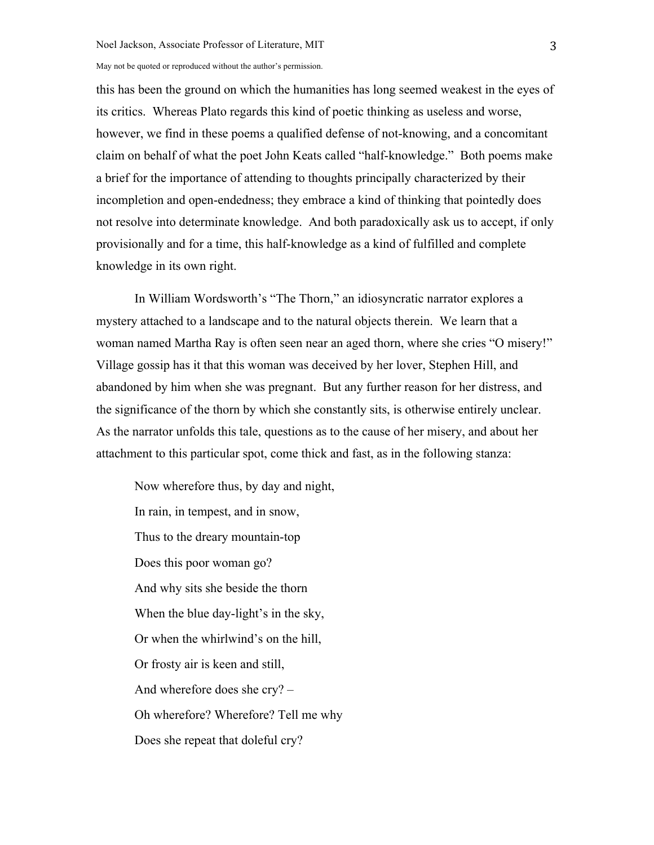this has been the ground on which the humanities has long seemed weakest in the eyes of its critics. Whereas Plato regards this kind of poetic thinking as useless and worse, however, we find in these poems a qualified defense of not-knowing, and a concomitant claim on behalf of what the poet John Keats called "half-knowledge." Both poems make a brief for the importance of attending to thoughts principally characterized by their incompletion and open-endedness; they embrace a kind of thinking that pointedly does not resolve into determinate knowledge. And both paradoxically ask us to accept, if only provisionally and for a time, this half-knowledge as a kind of fulfilled and complete knowledge in its own right.

In William Wordsworth's "The Thorn," an idiosyncratic narrator explores a mystery attached to a landscape and to the natural objects therein. We learn that a woman named Martha Ray is often seen near an aged thorn, where she cries "O misery!" Village gossip has it that this woman was deceived by her lover, Stephen Hill, and abandoned by him when she was pregnant. But any further reason for her distress, and the significance of the thorn by which she constantly sits, is otherwise entirely unclear. As the narrator unfolds this tale, questions as to the cause of her misery, and about her attachment to this particular spot, come thick and fast, as in the following stanza:

Now wherefore thus, by day and night, In rain, in tempest, and in snow, Thus to the dreary mountain-top Does this poor woman go? And why sits she beside the thorn When the blue day-light's in the sky, Or when the whirlwind's on the hill, Or frosty air is keen and still, And wherefore does she cry? – Oh wherefore? Wherefore? Tell me why Does she repeat that doleful cry?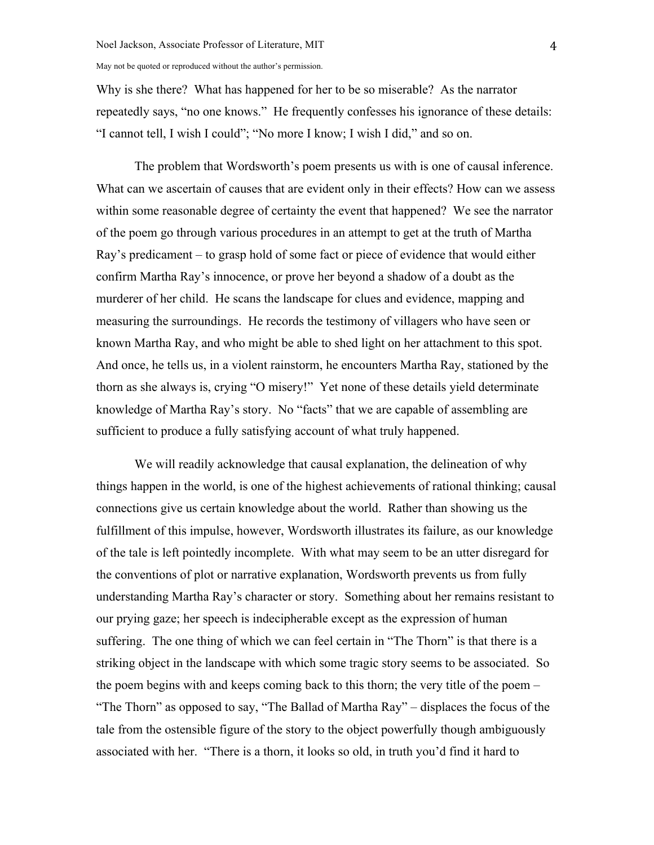Why is she there? What has happened for her to be so miserable? As the narrator repeatedly says, "no one knows." He frequently confesses his ignorance of these details: "I cannot tell, I wish I could"; "No more I know; I wish I did," and so on.

The problem that Wordsworth's poem presents us with is one of causal inference. What can we ascertain of causes that are evident only in their effects? How can we assess within some reasonable degree of certainty the event that happened? We see the narrator of the poem go through various procedures in an attempt to get at the truth of Martha Ray's predicament – to grasp hold of some fact or piece of evidence that would either confirm Martha Ray's innocence, or prove her beyond a shadow of a doubt as the murderer of her child. He scans the landscape for clues and evidence, mapping and measuring the surroundings. He records the testimony of villagers who have seen or known Martha Ray, and who might be able to shed light on her attachment to this spot. And once, he tells us, in a violent rainstorm, he encounters Martha Ray, stationed by the thorn as she always is, crying "O misery!" Yet none of these details yield determinate knowledge of Martha Ray's story. No "facts" that we are capable of assembling are sufficient to produce a fully satisfying account of what truly happened.

We will readily acknowledge that causal explanation, the delineation of why things happen in the world, is one of the highest achievements of rational thinking; causal connections give us certain knowledge about the world. Rather than showing us the fulfillment of this impulse, however, Wordsworth illustrates its failure, as our knowledge of the tale is left pointedly incomplete. With what may seem to be an utter disregard for the conventions of plot or narrative explanation, Wordsworth prevents us from fully understanding Martha Ray's character or story. Something about her remains resistant to our prying gaze; her speech is indecipherable except as the expression of human suffering. The one thing of which we can feel certain in "The Thorn" is that there is a striking object in the landscape with which some tragic story seems to be associated. So the poem begins with and keeps coming back to this thorn; the very title of the poem – "The Thorn" as opposed to say, "The Ballad of Martha Ray" – displaces the focus of the tale from the ostensible figure of the story to the object powerfully though ambiguously associated with her. "There is a thorn, it looks so old, in truth you'd find it hard to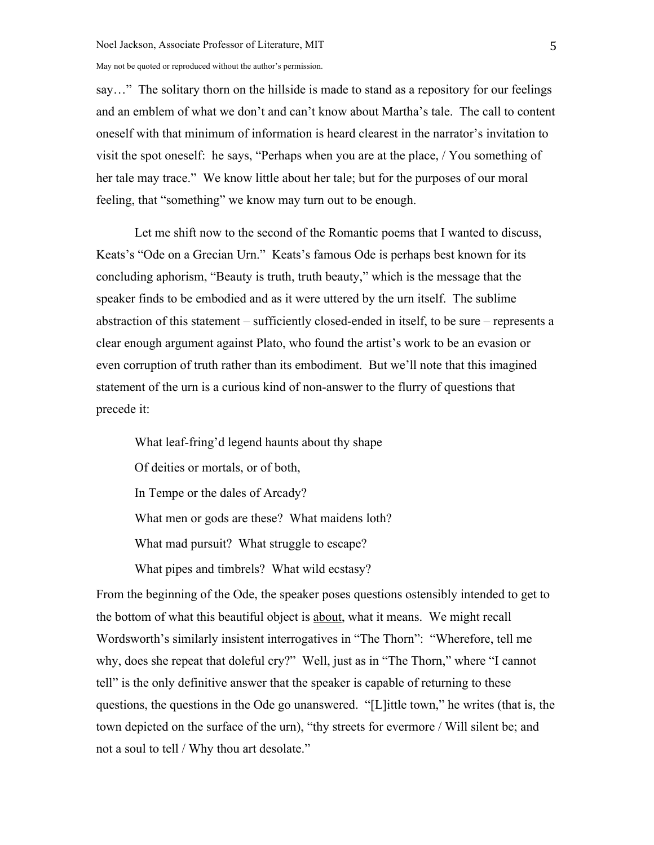say…" The solitary thorn on the hillside is made to stand as a repository for our feelings and an emblem of what we don't and can't know about Martha's tale. The call to content oneself with that minimum of information is heard clearest in the narrator's invitation to visit the spot oneself: he says, "Perhaps when you are at the place, / You something of her tale may trace." We know little about her tale; but for the purposes of our moral feeling, that "something" we know may turn out to be enough.

Let me shift now to the second of the Romantic poems that I wanted to discuss, Keats's "Ode on a Grecian Urn." Keats's famous Ode is perhaps best known for its concluding aphorism, "Beauty is truth, truth beauty," which is the message that the speaker finds to be embodied and as it were uttered by the urn itself. The sublime abstraction of this statement – sufficiently closed-ended in itself, to be sure – represents a clear enough argument against Plato, who found the artist's work to be an evasion or even corruption of truth rather than its embodiment. But we'll note that this imagined statement of the urn is a curious kind of non-answer to the flurry of questions that precede it:

What leaf-fring'd legend haunts about thy shape Of deities or mortals, or of both, In Tempe or the dales of Arcady? What men or gods are these? What maidens loth? What mad pursuit? What struggle to escape? What pipes and timbrels? What wild ecstasy?

From the beginning of the Ode, the speaker poses questions ostensibly intended to get to the bottom of what this beautiful object is about, what it means. We might recall Wordsworth's similarly insistent interrogatives in "The Thorn": "Wherefore, tell me why, does she repeat that doleful cry?" Well, just as in "The Thorn," where "I cannot tell" is the only definitive answer that the speaker is capable of returning to these questions, the questions in the Ode go unanswered. "[L]ittle town," he writes (that is, the town depicted on the surface of the urn), "thy streets for evermore / Will silent be; and not a soul to tell / Why thou art desolate."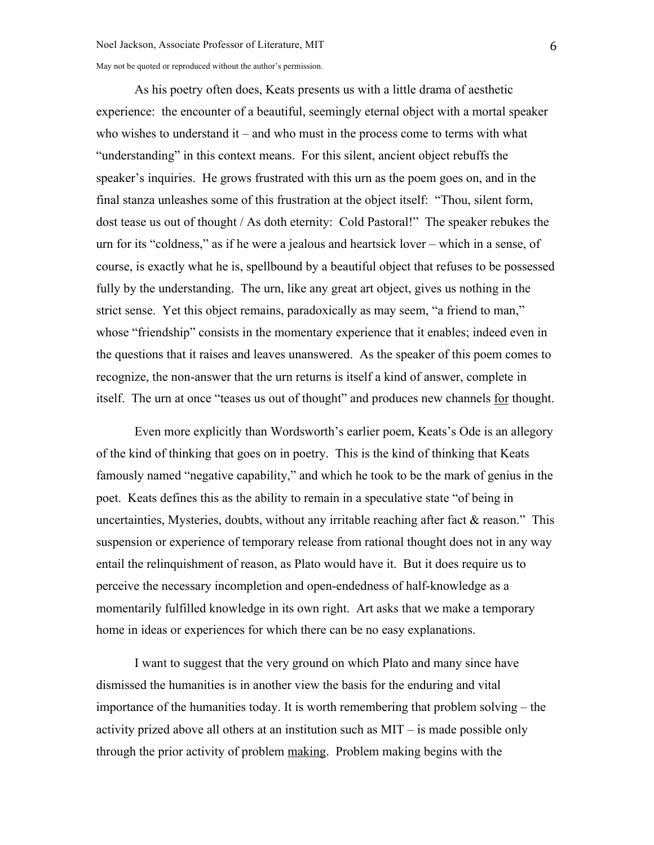As his poetry often does, Keats presents us with a little drama of aesthetic experience: the encounter of a beautiful, seemingly eternal object with a mortal speaker who wishes to understand it – and who must in the process come to terms with what "understanding" in this context means. For this silent, ancient object rebuffs the speaker's inquiries. He grows frustrated with this urn as the poem goes on, and in the final stanza unleashes some of this frustration at the object itself: "Thou, silent form, dost tease us out of thought / As doth eternity: Cold Pastoral!" The speaker rebukes the urn for its "coldness," as if he were a jealous and heartsick lover – which in a sense, of course, is exactly what he is, spellbound by a beautiful object that refuses to be possessed fully by the understanding. The urn, like any great art object, gives us nothing in the strict sense. Yet this object remains, paradoxically as may seem, "a friend to man," whose "friendship" consists in the momentary experience that it enables; indeed even in the questions that it raises and leaves unanswered. As the speaker of this poem comes to recognize, the non-answer that the urn returns is itself a kind of answer, complete in itself. The urn at once "teases us out of thought" and produces new channels for thought.

Even more explicitly than Wordsworth's earlier poem, Keats's Ode is an allegory of the kind of thinking that goes on in poetry. This is the kind of thinking that Keats famously named "negative capability," and which he took to be the mark of genius in the poet. Keats defines this as the ability to remain in a speculative state "of being in uncertainties, Mysteries, doubts, without any irritable reaching after fact  $\&$  reason." This suspension or experience of temporary release from rational thought does not in any way entail the relinquishment of reason, as Plato would have it. But it does require us to perceive the necessary incompletion and open-endedness of half-knowledge as a momentarily fulfilled knowledge in its own right. Art asks that we make a temporary home in ideas or experiences for which there can be no easy explanations.

I want to suggest that the very ground on which Plato and many since have dismissed the humanities is in another view the basis for the enduring and vital importance of the humanities today. It is worth remembering that problem solving – the activity prized above all others at an institution such as MIT – is made possible only through the prior activity of problem making. Problem making begins with the